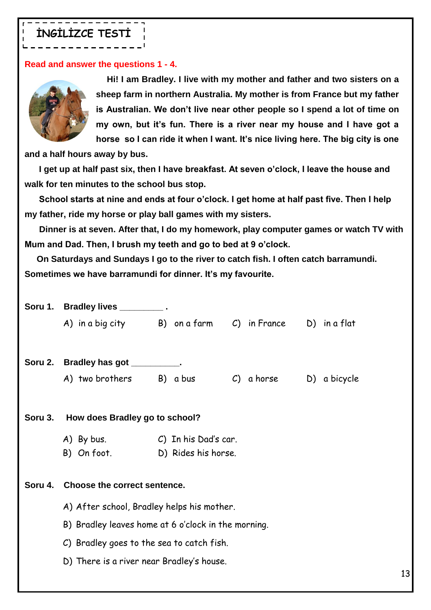## **İNGİLİZCE TESTİ**

## **Read and answer the questions 1 - 4.**



 **Hi! I am Bradley. I live with my mother and father and two sisters on a sheep farm in northern Australia. My mother is from France but my father is Australian. We don't live near other people so I spend a lot of time on my own, but it's fun. There is a river near my house and I have got a horse so I can ride it when I want. It's nice living here. The big city is one** 

**and a half hours away by bus.**

 **I get up at half past six, then I have breakfast. At seven o'clock, I leave the house and walk for ten minutes to the school bus stop.**

 **School starts at nine and ends at four o'clock. I get home at half past five. Then I help my father, ride my horse or play ball games with my sisters.**

 **Dinner is at seven. After that, I do my homework, play computer games or watch TV with Mum and Dad. Then, I brush my teeth and go to bed at 9 o'clock.**

 **On Saturdays and Sundays I go to the river to catch fish. I often catch barramundi. Sometimes we have barramundi for dinner. It's my favourite.**

|         | Soru 1. Bradley lives _________.                        |                     |            |              |
|---------|---------------------------------------------------------|---------------------|------------|--------------|
|         | A) in a big city B) on a farm C) in France D) in a flat |                     |            |              |
|         |                                                         |                     |            |              |
|         | Soru 2. Bradley has got __________.                     |                     |            |              |
|         | A) two brothers B) a bus                                |                     | C) a horse | D) a bicycle |
|         |                                                         |                     |            |              |
| Soru 3. | How does Bradley go to school?                          |                     |            |              |
|         | A) By bus. C) In his Dad's car.                         |                     |            |              |
|         | B) On foot.                                             | D) Rides his horse. |            |              |
|         |                                                         |                     |            |              |
|         | Soru 4. Choose the correct sentence.                    |                     |            |              |
|         | A) After school, Bradley helps his mother.              |                     |            |              |
|         | B) Bradley leaves home at 6 o'clock in the morning.     |                     |            |              |
|         | C) Bradley goes to the sea to catch fish.               |                     |            |              |
|         | D) There is a river near Bradley's house.               |                     |            |              |
|         |                                                         |                     |            |              |

13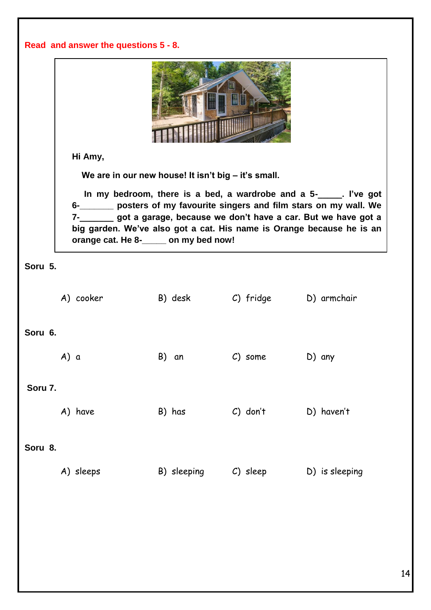|         | Read and answer the questions 5 - 8.  |                                                     |            |                                                                                                                                                                                                                                                                                                 |  |  |
|---------|---------------------------------------|-----------------------------------------------------|------------|-------------------------------------------------------------------------------------------------------------------------------------------------------------------------------------------------------------------------------------------------------------------------------------------------|--|--|
|         | Hi Amy,                               |                                                     |            |                                                                                                                                                                                                                                                                                                 |  |  |
|         |                                       | We are in our new house! It isn't big - it's small. |            |                                                                                                                                                                                                                                                                                                 |  |  |
|         | orange cat. He 8-_____ on my bed now! |                                                     |            | In my bedroom, there is a bed, a wardrobe and a 5-<br>1. I've got<br>6-_______ posters of my favourite singers and film stars on my wall. We<br>7-_______ got a garage, because we don't have a car. But we have got a<br>big garden. We've also got a cat. His name is Orange because he is an |  |  |
| Soru 5. |                                       |                                                     |            |                                                                                                                                                                                                                                                                                                 |  |  |
|         | A) cooker                             | B) desk           C) fridge          D) armchair    |            |                                                                                                                                                                                                                                                                                                 |  |  |
| Soru 6. |                                       |                                                     |            |                                                                                                                                                                                                                                                                                                 |  |  |
|         | A) a                                  | B) an                                               | C) some    | D) any                                                                                                                                                                                                                                                                                          |  |  |
| Soru 7. |                                       |                                                     |            |                                                                                                                                                                                                                                                                                                 |  |  |
|         | A) have                               | B) has                                              | $C)$ don't | D) haven't                                                                                                                                                                                                                                                                                      |  |  |
| Soru 8. |                                       |                                                     |            |                                                                                                                                                                                                                                                                                                 |  |  |
|         | A) sleeps                             | B) sleeping                                         | C) sleep   | D) is sleeping                                                                                                                                                                                                                                                                                  |  |  |
|         |                                       |                                                     |            |                                                                                                                                                                                                                                                                                                 |  |  |
|         |                                       |                                                     |            |                                                                                                                                                                                                                                                                                                 |  |  |
|         |                                       |                                                     |            |                                                                                                                                                                                                                                                                                                 |  |  |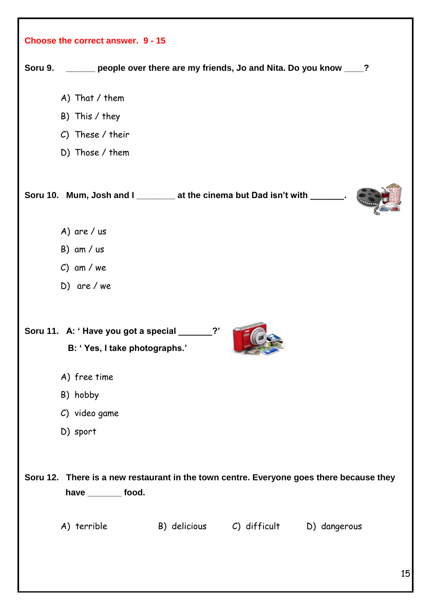| Soru 9. _____ people over there are my friends, Jo and Nita. Do you know ___?                                   |
|-----------------------------------------------------------------------------------------------------------------|
| A) That / them                                                                                                  |
| B) This / they                                                                                                  |
| C) These / their                                                                                                |
| D) Those / them                                                                                                 |
| Soru 10. Mum, Josh and I _________ at the cinema but Dad isn't with ____                                        |
| A) are $/$ us                                                                                                   |
| $B)$ am / us                                                                                                    |
| $C)$ am / we                                                                                                    |
| $D)$ are / we                                                                                                   |
| Soru 11. A: 'Have you got a special ___<br>B: 'Yes, I take photographs.'                                        |
| A) free time                                                                                                    |
| B) hobby                                                                                                        |
|                                                                                                                 |
| C) video game                                                                                                   |
| D) sport                                                                                                        |
| Soru 12. There is a new restaurant in the town centre. Everyone goes there because they<br>have _________ food. |